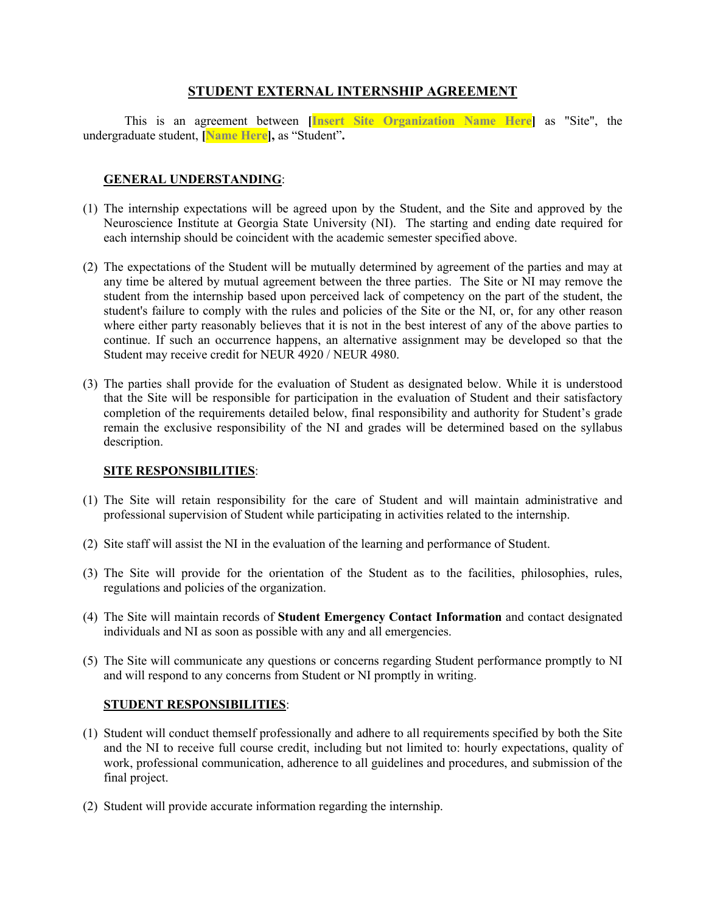## **STUDENT EXTERNAL INTERNSHIP AGREEMENT**

This is an agreement between **[Insert Site Organization Name Here]** as "Site", the undergraduate student, **[Name Here],** as "Student"**.**

### **GENERAL UNDERSTANDING**:

- (1) The internship expectations will be agreed upon by the Student, and the Site and approved by the Neuroscience Institute at Georgia State University (NI). The starting and ending date required for each internship should be coincident with the academic semester specified above.
- (2) The expectations of the Student will be mutually determined by agreement of the parties and may at any time be altered by mutual agreement between the three parties. The Site or NI may remove the student from the internship based upon perceived lack of competency on the part of the student, the student's failure to comply with the rules and policies of the Site or the NI, or, for any other reason where either party reasonably believes that it is not in the best interest of any of the above parties to continue. If such an occurrence happens, an alternative assignment may be developed so that the Student may receive credit for NEUR 4920 / NEUR 4980.
- (3) The parties shall provide for the evaluation of Student as designated below. While it is understood that the Site will be responsible for participation in the evaluation of Student and their satisfactory completion of the requirements detailed below, final responsibility and authority for Student's grade remain the exclusive responsibility of the NI and grades will be determined based on the syllabus description.

#### **SITE RESPONSIBILITIES**:

- (1) The Site will retain responsibility for the care of Student and will maintain administrative and professional supervision of Student while participating in activities related to the internship.
- (2) Site staff will assist the NI in the evaluation of the learning and performance of Student.
- (3) The Site will provide for the orientation of the Student as to the facilities, philosophies, rules, regulations and policies of the organization.
- (4) The Site will maintain records of **Student Emergency Contact Information** and contact designated individuals and NI as soon as possible with any and all emergencies.
- (5) The Site will communicate any questions or concerns regarding Student performance promptly to NI and will respond to any concerns from Student or NI promptly in writing.

#### **STUDENT RESPONSIBILITIES**:

- (1) Student will conduct themself professionally and adhere to all requirements specified by both the Site and the NI to receive full course credit, including but not limited to: hourly expectations, quality of work, professional communication, adherence to all guidelines and procedures, and submission of the final project.
- (2) Student will provide accurate information regarding the internship.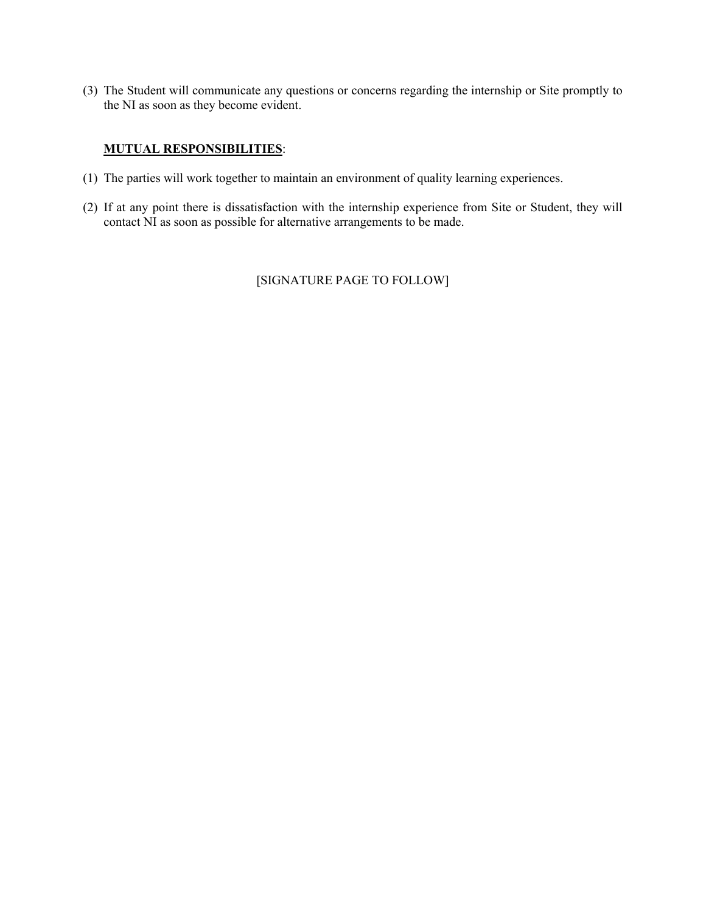(3) The Student will communicate any questions or concerns regarding the internship or Site promptly to the NI as soon as they become evident.

# **MUTUAL RESPONSIBILITIES**:

- (1) The parties will work together to maintain an environment of quality learning experiences.
- (2) If at any point there is dissatisfaction with the internship experience from Site or Student, they will contact NI as soon as possible for alternative arrangements to be made.

[SIGNATURE PAGE TO FOLLOW]